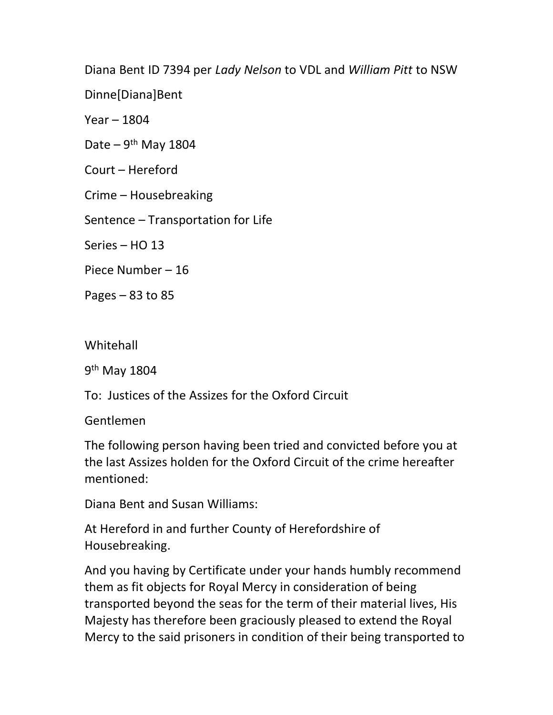Diana Bent ID 7394 per Lady Nelson to VDL and William Pitt to NSW

Dinne[Diana]Bent

Year – 1804

Date –  $9<sup>th</sup>$  May 1804

Court – Hereford

Crime – Housebreaking

Sentence – Transportation for Life

Series – HO 13

Piece Number – 16

Pages  $-83$  to 85

Whitehall

9<sup>th</sup> May 1804

To: Justices of the Assizes for the Oxford Circuit

Gentlemen

The following person having been tried and convicted before you at the last Assizes holden for the Oxford Circuit of the crime hereafter mentioned:

Diana Bent and Susan Williams:

At Hereford in and further County of Herefordshire of Housebreaking.

And you having by Certificate under your hands humbly recommend them as fit objects for Royal Mercy in consideration of being transported beyond the seas for the term of their material lives, His Majesty has therefore been graciously pleased to extend the Royal Mercy to the said prisoners in condition of their being transported to